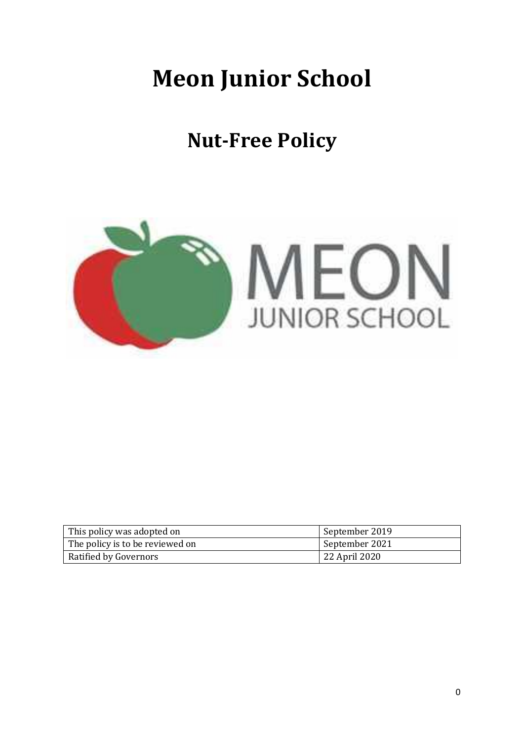# **Meon Junior School**

# **Nut-Free Policy**



| This policy was adopted on      | September 2019 |
|---------------------------------|----------------|
| The policy is to be reviewed on | September 2021 |
| Ratified by Governors           | 22 April 2020  |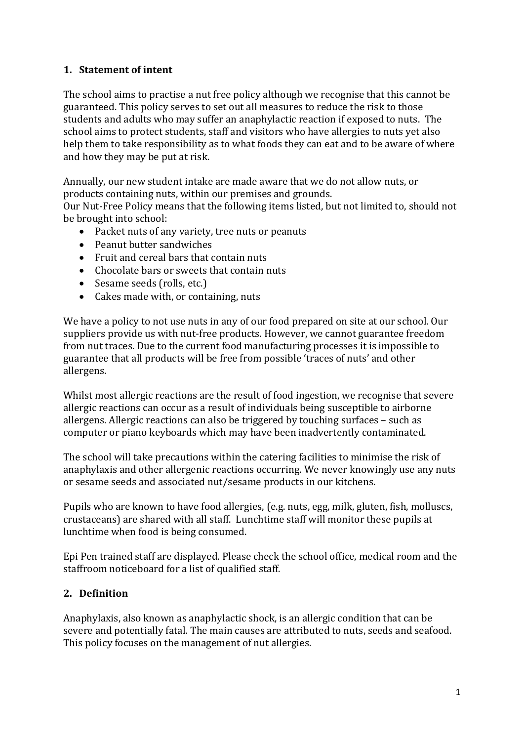# **1. Statement of intent**

The school aims to practise a nut free policy although we recognise that this cannot be guaranteed. This policy serves to set out all measures to reduce the risk to those students and adults who may suffer an anaphylactic reaction if exposed to nuts. The school aims to protect students, staff and visitors who have allergies to nuts yet also help them to take responsibility as to what foods they can eat and to be aware of where and how they may be put at risk.

Annually, our new student intake are made aware that we do not allow nuts, or products containing nuts, within our premises and grounds.

Our Nut-Free Policy means that the following items listed, but not limited to, should not be brought into school:

- Packet nuts of any variety, tree nuts or peanuts
- Peanut butter sandwiches
- Fruit and cereal bars that contain nuts
- Chocolate bars or sweets that contain nuts
- Sesame seeds (rolls, etc.)
- Cakes made with, or containing, nuts

We have a policy to not use nuts in any of our food prepared on site at our school. Our suppliers provide us with nut-free products. However, we cannot guarantee freedom from nut traces. Due to the current food manufacturing processes it is impossible to guarantee that all products will be free from possible 'traces of nuts' and other allergens.

Whilst most allergic reactions are the result of food ingestion, we recognise that severe allergic reactions can occur as a result of individuals being susceptible to airborne allergens. Allergic reactions can also be triggered by touching surfaces – such as computer or piano keyboards which may have been inadvertently contaminated.

The school will take precautions within the catering facilities to minimise the risk of anaphylaxis and other allergenic reactions occurring. We never knowingly use any nuts or sesame seeds and associated nut/sesame products in our kitchens.

Pupils who are known to have food allergies, (e.g. nuts, egg, milk, gluten, fish, molluscs, crustaceans) are shared with all staff. Lunchtime staff will monitor these pupils at lunchtime when food is being consumed.

Epi Pen trained staff are displayed. Please check the school office, medical room and the staffroom noticeboard for a list of qualified staff.

# **2. Definition**

Anaphylaxis, also known as anaphylactic shock, is an allergic condition that can be severe and potentially fatal. The main causes are attributed to nuts, seeds and seafood. This policy focuses on the management of nut allergies.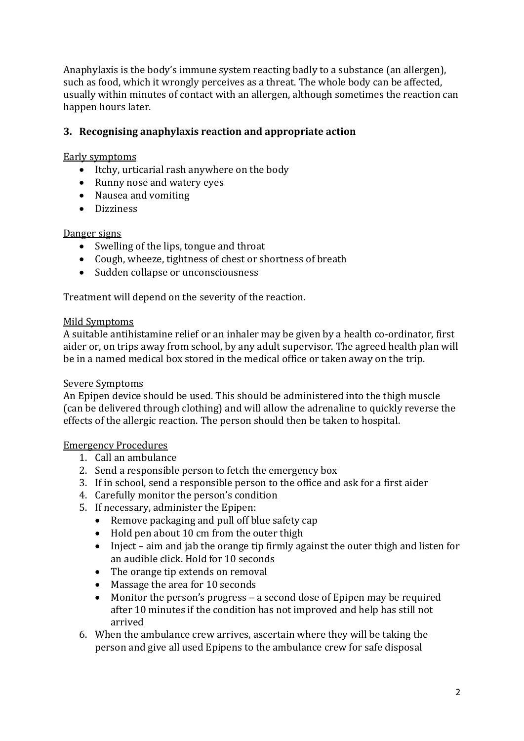Anaphylaxis is the body's immune system reacting badly to a substance (an allergen), such as food, which it wrongly perceives as a threat. The whole body can be affected, usually within minutes of contact with an allergen, although sometimes the reaction can happen hours later.

### **3. Recognising anaphylaxis reaction and appropriate action**

Early symptoms

- Itchy, urticarial rash anywhere on the body
- Runny nose and watery eyes
- Nausea and vomiting
- **•** Dizziness

#### Danger signs

- Swelling of the lips, tongue and throat
- Cough, wheeze, tightness of chest or shortness of breath
- Sudden collapse or unconsciousness

Treatment will depend on the severity of the reaction.

#### Mild Symptoms

A suitable antihistamine relief or an inhaler may be given by a health co-ordinator, first aider or, on trips away from school, by any adult supervisor. The agreed health plan will be in a named medical box stored in the medical office or taken away on the trip.

#### Severe Symptoms

An Epipen device should be used. This should be administered into the thigh muscle (can be delivered through clothing) and will allow the adrenaline to quickly reverse the effects of the allergic reaction. The person should then be taken to hospital.

#### Emergency Procedures

- 1. Call an ambulance
- 2. Send a responsible person to fetch the emergency box
- 3. If in school, send a responsible person to the office and ask for a first aider
- 4. Carefully monitor the person's condition
- 5. If necessary, administer the Epipen:
	- Remove packaging and pull off blue safety cap
	- Hold pen about 10 cm from the outer thigh
	- Inject aim and jab the orange tip firmly against the outer thigh and listen for an audible click. Hold for 10 seconds
	- The orange tip extends on removal
	- Massage the area for 10 seconds
	- Monitor the person's progress a second dose of Epipen may be required after 10 minutes if the condition has not improved and help has still not arrived
- 6. When the ambulance crew arrives, ascertain where they will be taking the person and give all used Epipens to the ambulance crew for safe disposal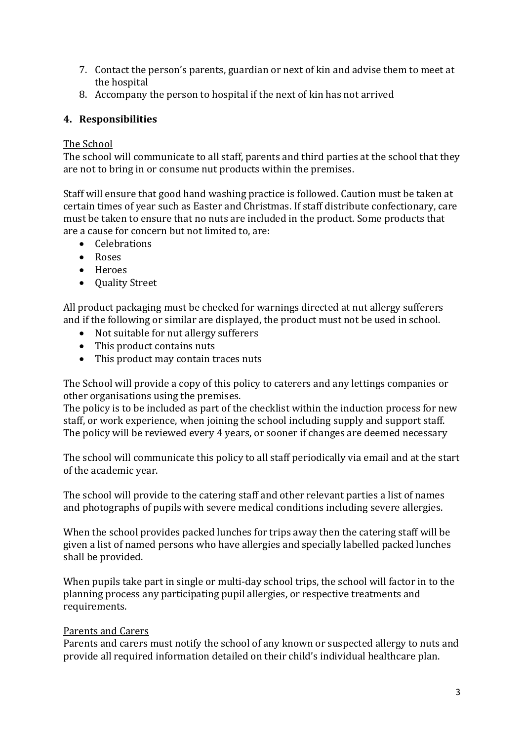- 7. Contact the person's parents, guardian or next of kin and advise them to meet at the hospital
- 8. Accompany the person to hospital if the next of kin has not arrived

# **4. Responsibilities**

# The School

The school will communicate to all staff, parents and third parties at the school that they are not to bring in or consume nut products within the premises.

Staff will ensure that good hand washing practice is followed. Caution must be taken at certain times of year such as Easter and Christmas. If staff distribute confectionary, care must be taken to ensure that no nuts are included in the product. Some products that are a cause for concern but not limited to, are:

- Celebrations
- Roses
- Heroes
- Quality Street

All product packaging must be checked for warnings directed at nut allergy sufferers and if the following or similar are displayed, the product must not be used in school.

- Not suitable for nut allergy sufferers
- This product contains nuts
- This product may contain traces nuts

The School will provide a copy of this policy to caterers and any lettings companies or other organisations using the premises.

The policy is to be included as part of the checklist within the induction process for new staff, or work experience, when joining the school including supply and support staff. The policy will be reviewed every 4 years, or sooner if changes are deemed necessary

The school will communicate this policy to all staff periodically via email and at the start of the academic year.

The school will provide to the catering staff and other relevant parties a list of names and photographs of pupils with severe medical conditions including severe allergies.

When the school provides packed lunches for trips away then the catering staff will be given a list of named persons who have allergies and specially labelled packed lunches shall be provided.

When pupils take part in single or multi-day school trips, the school will factor in to the planning process any participating pupil allergies, or respective treatments and requirements.

# Parents and Carers

Parents and carers must notify the school of any known or suspected allergy to nuts and provide all required information detailed on their child's individual healthcare plan.